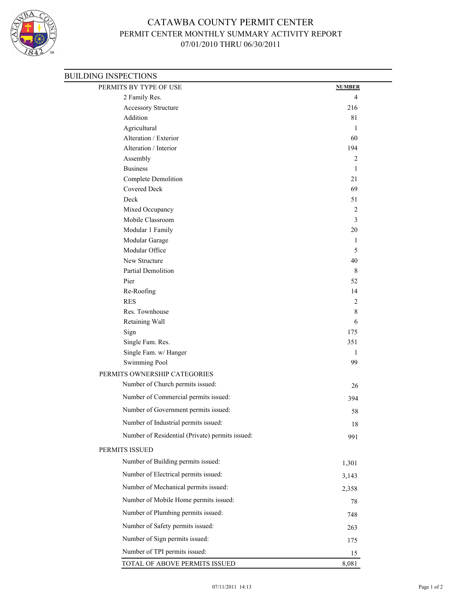

## CATAWBA COUNTY PERMIT CENTER PERMIT CENTER MONTHLY SUMMARY ACTIVITY REPORT 07/01/2010 THRU 06/30/2011

| PERMITS BY TYPE OF USE                          | <b>NUMBER</b>  |
|-------------------------------------------------|----------------|
| 2 Family Res.                                   | $\overline{4}$ |
| Accessory Structure                             | 216            |
| Addition                                        | 81             |
| Agricultural                                    | 1              |
| Alteration / Exterior                           | 60             |
| Alteration / Interior                           | 194            |
| Assembly                                        | $\overline{2}$ |
| <b>Business</b>                                 | 1              |
| Complete Demolition                             | 21             |
| <b>Covered Deck</b>                             | 69             |
| Deck                                            | 51             |
| Mixed Occupancy<br>Mobile Classroom             | 2<br>3         |
| Modular 1 Family                                | $20\,$         |
| Modular Garage                                  | 1              |
| Modular Office                                  | 5              |
| New Structure                                   | 40             |
| Partial Demolition                              | 8              |
| Pier                                            | 52             |
| Re-Roofing                                      | 14             |
| <b>RES</b>                                      | 2              |
| Res. Townhouse                                  | 8              |
| Retaining Wall                                  | 6              |
| Sign                                            | 175            |
| Single Fam. Res.                                | 351            |
| Single Fam. w/ Hanger                           | 1              |
| Swimming Pool                                   | 99             |
| PERMITS OWNERSHIP CATEGORIES                    |                |
| Number of Church permits issued:                | 26             |
| Number of Commercial permits issued:            | 394            |
| Number of Government permits issued:            | 58             |
| Number of Industrial permits issued:            | 18             |
| Number of Residential (Private) permits issued: | 991            |
| PERMITS ISSUED                                  |                |
| Number of Building permits issued:              |                |
|                                                 | 1,301          |
| Number of Electrical permits issued:            | 3,143          |
| Number of Mechanical permits issued:            | 2,358          |
| Number of Mobile Home permits issued:           | 78             |
| Number of Plumbing permits issued:              | 748            |
| Number of Safety permits issued:                | 263            |
| Number of Sign permits issued:                  | 175            |
| Number of TPI permits issued:                   | 15             |
| TOTAL OF ABOVE PERMITS ISSUED                   | 8,081          |